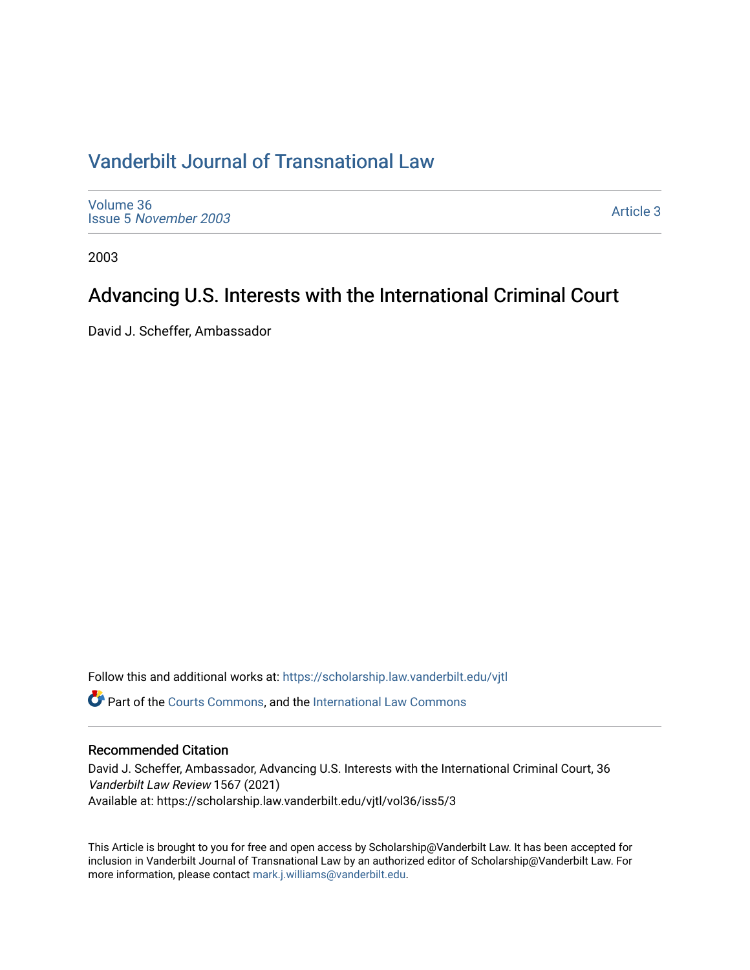# [Vanderbilt Journal of Transnational Law](https://scholarship.law.vanderbilt.edu/vjtl)

[Volume 36](https://scholarship.law.vanderbilt.edu/vjtl/vol36) Issue 5 [November 2003](https://scholarship.law.vanderbilt.edu/vjtl/vol36/iss5) 

[Article 3](https://scholarship.law.vanderbilt.edu/vjtl/vol36/iss5/3) 

2003

## Advancing U.S. Interests with the International Criminal Court

David J. Scheffer, Ambassador

Follow this and additional works at: [https://scholarship.law.vanderbilt.edu/vjtl](https://scholarship.law.vanderbilt.edu/vjtl?utm_source=scholarship.law.vanderbilt.edu%2Fvjtl%2Fvol36%2Fiss5%2F3&utm_medium=PDF&utm_campaign=PDFCoverPages)  Part of the [Courts Commons,](http://network.bepress.com/hgg/discipline/839?utm_source=scholarship.law.vanderbilt.edu%2Fvjtl%2Fvol36%2Fiss5%2F3&utm_medium=PDF&utm_campaign=PDFCoverPages) and the [International Law Commons](http://network.bepress.com/hgg/discipline/609?utm_source=scholarship.law.vanderbilt.edu%2Fvjtl%2Fvol36%2Fiss5%2F3&utm_medium=PDF&utm_campaign=PDFCoverPages) 

## Recommended Citation

David J. Scheffer, Ambassador, Advancing U.S. Interests with the International Criminal Court, 36 Vanderbilt Law Review 1567 (2021) Available at: https://scholarship.law.vanderbilt.edu/vjtl/vol36/iss5/3

This Article is brought to you for free and open access by Scholarship@Vanderbilt Law. It has been accepted for inclusion in Vanderbilt Journal of Transnational Law by an authorized editor of Scholarship@Vanderbilt Law. For more information, please contact [mark.j.williams@vanderbilt.edu](mailto:mark.j.williams@vanderbilt.edu).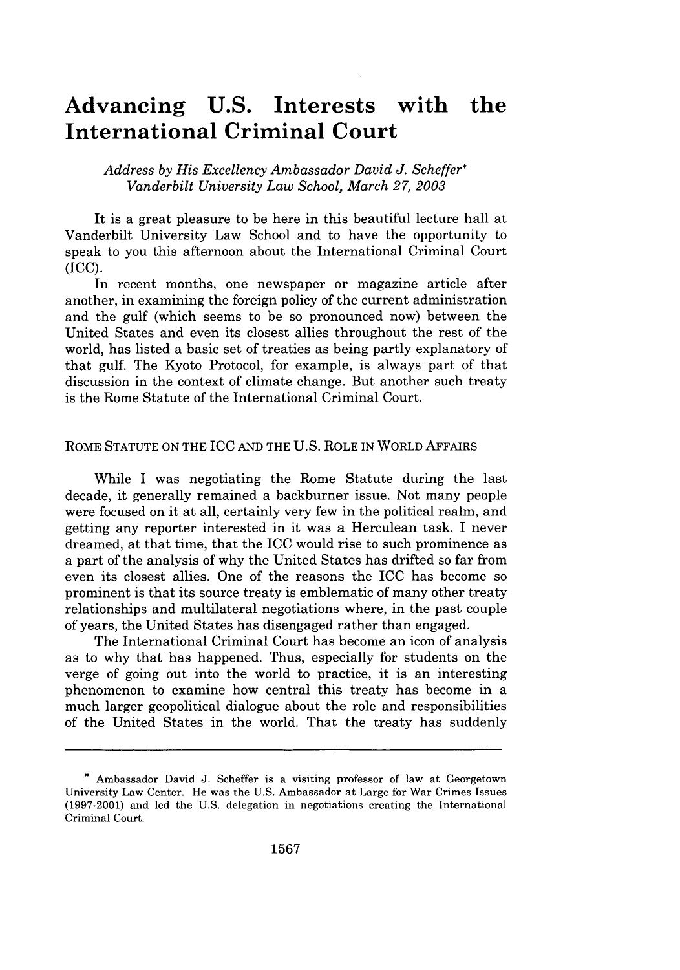## **Advancing U.S. Interests with the International Criminal Court**

*Address by His Excellency Ambassador David J. Scheffer\* Vanderbilt University Law School, March 27, 2003*

It is a great pleasure to be here in this beautiful lecture hall at Vanderbilt University Law School and to have the opportunity to speak to you this afternoon about the International Criminal Court (ICC).

In recent months, one newspaper or magazine article after another, in examining the foreign policy of the current administration and the gulf (which seems to be so pronounced now) between the United States and even its closest allies throughout the rest of the world, has listed a basic set of treaties as being partly explanatory of that gulf. The Kyoto Protocol, for example, is always part of that discussion in the context of climate change. But another such treaty is the Rome Statute of the International Criminal Court.

## ROME STATUTE ON THE ICC AND THE U.S. ROLE IN WORLD AFFAIRS

While I was negotiating the Rome Statute during the last decade, it generally remained a backburner issue. Not many people were focused on it at all, certainly very few in the political realm, and getting any reporter interested in it was a Herculean task. I never dreamed, at that time, that the ICC would rise to such prominence as a part of the analysis of why the United States has drifted so far from even its closest allies. One of the reasons the ICC has become so prominent is that its source treaty is emblematic of many other treaty relationships and multilateral negotiations where, in the past couple of years, the United States has disengaged rather than engaged.

The International Criminal Court has become an icon of analysis as to why that has happened. Thus, especially for students on the verge of going out into the world to practice, it is an interesting phenomenon to examine how central this treaty has become in a much larger geopolitical dialogue about the role and responsibilities of the United States in the world. That the treaty has suddenly

<sup>\*</sup> Ambassador David J. Scheffer is a visiting professor of law at Georgetown University Law Center. He was the U.S. Ambassador at Large for War Crimes Issues (1997-2001) and led the U.S. delegation in negotiations creating the International Criminal Court.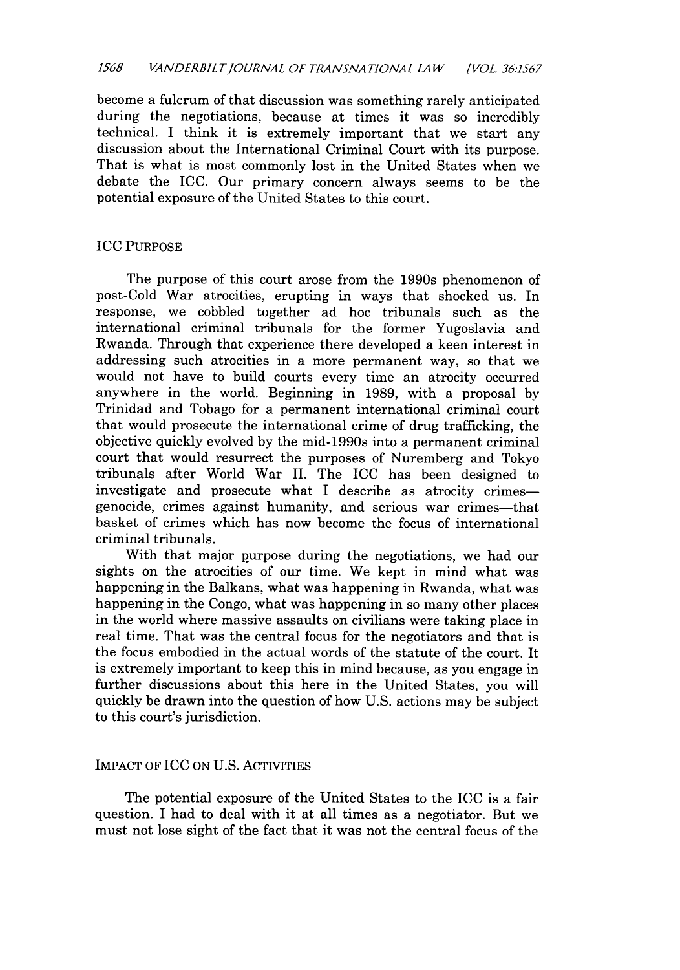become a fulcrum of that discussion was something rarely anticipated during the negotiations, because at times it was so incredibly technical. I think it is extremely important that we start any discussion about the International Criminal Court with its purpose. That is what is most commonly lost in the United States when we debate the ICC. Our primary concern always seems to be the potential exposure of the United States to this court.

## ICC PURPOSE

The purpose of this court arose from the 1990s phenomenon of post-Cold War atrocities, erupting in ways that shocked us. In response, we cobbled together ad hoc tribunals such as the international criminal tribunals for the former Yugoslavia and Rwanda. Through that experience there developed a keen interest in addressing such atrocities in a more permanent way, so that we would not have to build courts every time an atrocity occurred anywhere in the world. Beginning in 1989, with a proposal by Trinidad and Tobago for a permanent international criminal court that would prosecute the international crime of drug trafficking, the objective quickly evolved by the mid-1990s into a permanent criminal court that would resurrect the purposes of Nuremberg and Tokyo tribunals after World War II. The ICC has been designed to investigate and prosecute what I describe as atrocity crimesgenocide, crimes against humanity, and serious war crimes—that basket of crimes which has now become the focus of international criminal tribunals.

With that major purpose during the negotiations, we had our sights on the atrocities of our time. We kept in mind what was happening in the Balkans, what was happening in Rwanda, what was happening in the Congo, what was happening in so many other places in the world where massive assaults on civilians were taking place in real time. That was the central focus for the negotiators and that is the focus embodied in the actual words of the statute of the court. It is extremely important to keep this in mind because, as you engage in further discussions about this here in the United States, you will quickly be drawn into the question of how U.S. actions may be subject to this court's jurisdiction.

## IMPACT OF ICC ON U.S. ACTIVITIES

The potential exposure of the United States to the ICC is a fair question. I had to deal with it at all times as a negotiator. But we must not lose sight of the fact that it was not the central focus of the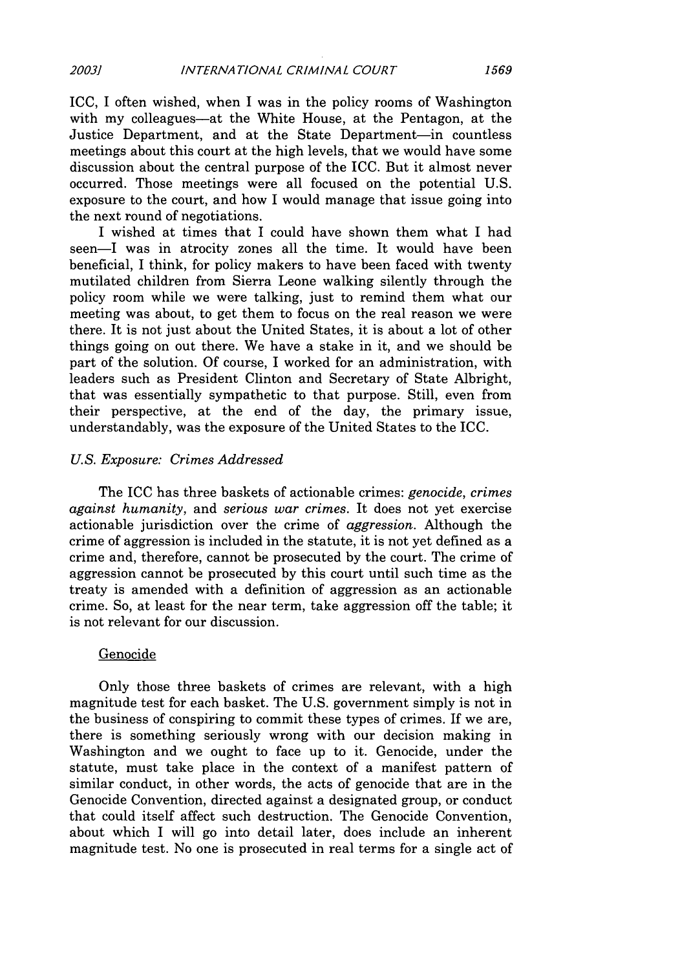ICC, I often wished, when I was in the policy rooms of Washington with my colleagues—at the White House, at the Pentagon, at the Justice Department, and at the State Department-in countless meetings about this court at the high levels, that we would have some discussion about the central purpose of the ICC. But it almost never occurred. Those meetings were all focused on the potential U.S. exposure to the court, and how I would manage that issue going into the next round of negotiations.

I wished at times that I could have shown them what I had seen-I was in atrocity zones all the time. It would have been beneficial, I think, for policy makers to have been faced with twenty mutilated children from Sierra Leone walking silently through the policy room while we were talking, just to remind them what our meeting was about, to get them to focus on the real reason we were there. It is not just about the United States, it is about a lot of other things going on out there. We have a stake in it, and we should be part of the solution. Of course, I worked for an administration, with leaders such as President Clinton and Secretary of State Albright, that was essentially sympathetic to that purpose. Still, even from their perspective, at the end of the day, the primary issue, understandably, was the exposure of the United States to the ICC.

#### *U.S. Exposure: Crimes Addressed*

The ICC has three baskets of actionable crimes: *genocide, crimes against humanity,* and *serious war crimes.* It does not yet exercise actionable jurisdiction over the crime of *aggression.* Although the crime of aggression is included in the statute, it is not yet defined as a crime and, therefore, cannot be prosecuted by the court. The crime of aggression cannot be prosecuted by this court until such time as the treaty is amended with a definition of aggression as an actionable crime. So, at least for the near term, take aggression off the table; it is not relevant for our discussion.

#### **Genocide**

Only those three baskets of crimes are relevant, with a high magnitude test for each basket. The U.S. government simply is not in the business of conspiring to commit these types of crimes. If we are, there is something seriously wrong with our decision making in Washington and we ought to face up to it. Genocide, under the statute, must take place in the context of a manifest pattern of similar conduct, in other words, the acts of genocide that are in the Genocide Convention, directed against a designated group, or conduct that could itself affect such destruction. The Genocide Convention, about which I will go into detail later, does include an inherent magnitude test. No one is prosecuted in real terms for a single act of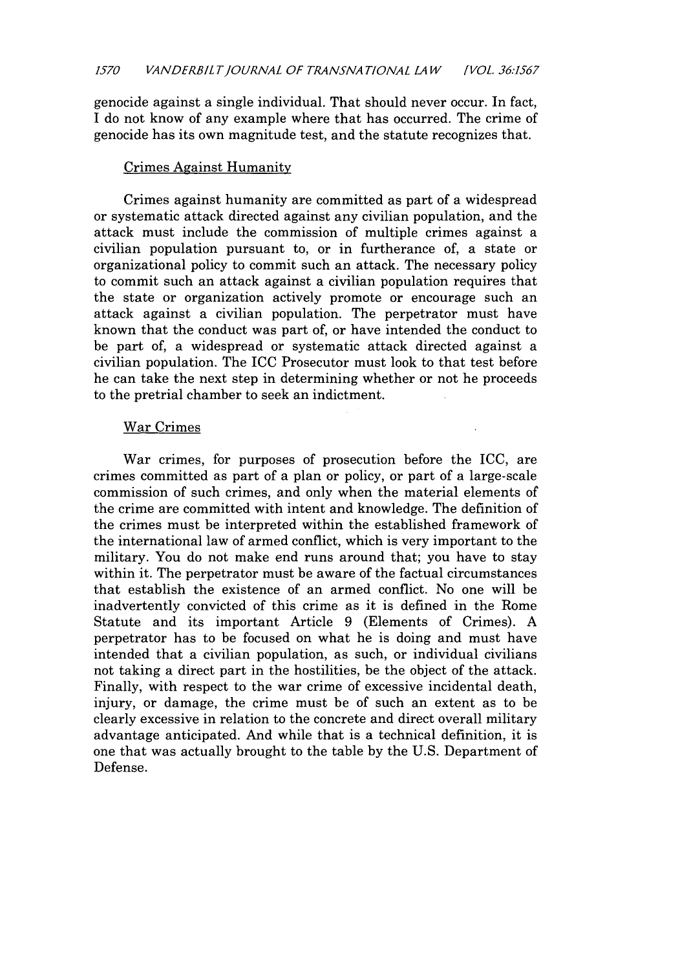genocide against a single individual. That should never occur. In fact, I do not know of any example where that has occurred. The crime of genocide has its own magnitude test, and the statute recognizes that.

### Crimes Against Humanity

Crimes against humanity are committed as part of a widespread or systematic attack directed against any civilian population, and the attack must include the commission of multiple crimes against a civilian population pursuant to, or in furtherance of, a state or organizational policy to commit such an attack. The necessary policy to commit such an attack against a civilian population requires that the state or organization actively promote or encourage such an attack against a civilian population. The perpetrator must have known that the conduct was part of, or have intended the conduct to be part of, a widespread or systematic attack directed against a civilian population. The ICC Prosecutor must look to that test before he can take the next step in determining whether or not he proceeds to the pretrial chamber to seek an indictment.

#### War Crimes

War crimes, for purposes of prosecution before the ICC, are crimes committed as part of a plan or policy, or part of a large-scale commission of such crimes, and only when the material elements of the crime are committed with intent and knowledge. The definition of the crimes must be interpreted within the established framework of the international law of armed conflict, which is very important to the military. You do not make end runs around that; you have to stay within it. The perpetrator must be aware of the factual circumstances that establish the existence of an armed conflict. No one will be inadvertently convicted of this crime as it is defined in the Rome Statute and its important Article 9 (Elements of Crimes). A perpetrator has to be focused on what he is doing and must have intended that a civilian population, as such, or individual civilians not taking a direct part in the hostilities, be the object of the attack. Finally, with respect to the war crime of excessive incidental death, injury, or damage, the crime must be of such an extent as to be clearly excessive in relation to the concrete and direct overall military advantage anticipated. And while that is a technical definition, it is one that was actually brought to the table by the U.S. Department of Defense.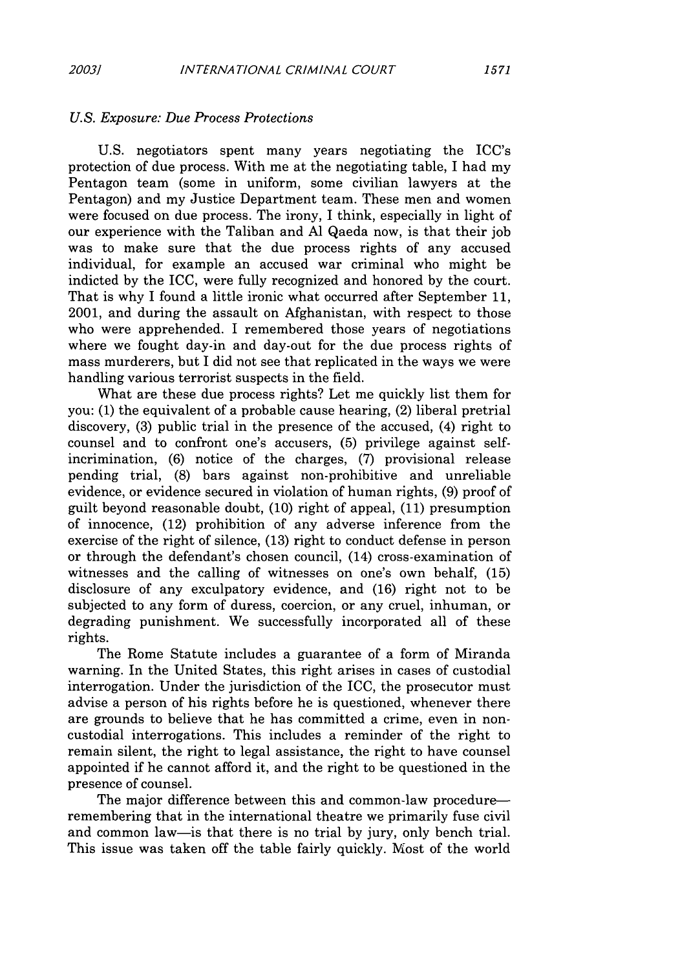#### *U.S. Exposure: Due Process Protections*

U.S. negotiators spent many years negotiating the ICC's protection of due process. With me at the negotiating table, I had my Pentagon team (some in uniform, some civilian lawyers at the Pentagon) and my Justice Department team. These men and women were focused on due process. The irony, I think, especially in light of our experience with the Taliban and **Al** Qaeda now, is that their job was to make sure that the due process rights of any accused individual, for example an accused war criminal who might be indicted by the ICC, were fully recognized and honored by the court. That is why I found a little ironic what occurred after September 11, 2001, and during the assault on Afghanistan, with respect to those who were apprehended. I remembered those years of negotiations where we fought day-in and day-out for the due process rights of mass murderers, but I did not see that replicated in the ways we were handling various terrorist suspects in the field.

What are these due process rights? Let me quickly list them for you: (1) the equivalent of a probable cause hearing, (2) liberal pretrial discovery, (3) public trial in the presence of the accused, (4) right to counsel and to confront one's accusers, (5) privilege against selfincrimination, (6) notice of the charges, (7) provisional release pending trial, (8) bars against non-prohibitive and unreliable evidence, or evidence secured in violation of human rights, (9) proof of guilt beyond reasonable doubt, (10) right of appeal, (11) presumption of innocence, (12) prohibition of any adverse inference from the exercise of the right of silence, (13) right to conduct defense in person or through the defendant's chosen council, (14) cross-examination of witnesses and the calling of witnesses on one's own behalf, (15) disclosure of any exculpatory evidence, and (16) right not to be subjected to any form of duress, coercion, or any cruel, inhuman, or degrading punishment. We successfully incorporated all of these rights.

The Rome Statute includes a guarantee of a form of Miranda warning. In the United States, this right arises in cases of custodial interrogation. Under the jurisdiction of the ICC, the prosecutor must advise a person of his rights before he is questioned, whenever there are grounds to believe that he has committed a crime, even in noncustodial interrogations. This includes a reminder of the right to remain silent, the right to legal assistance, the right to have counsel appointed if he cannot afford it, and the right to be questioned in the presence of counsel.

The major difference between this and common-law procedureremembering that in the international theatre we primarily fuse civil and common law-is that there is no trial by jury, only bench trial. This issue was taken off the table fairly quickly. Most of the world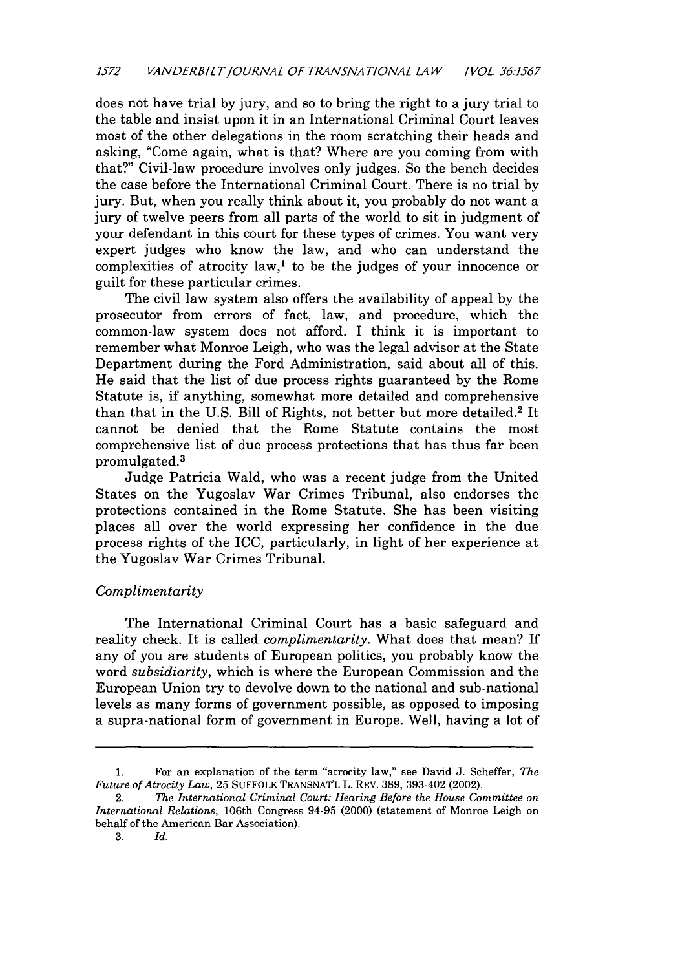does not have trial by jury, and so to bring the right to a jury trial to the table and insist upon it in an International Criminal Court leaves most of the other delegations in the room scratching their heads and asking, "Come again, what is that? Where are you coming from with that?" Civil-law procedure involves only judges. So the bench decides the case before the International Criminal Court. There is no trial by jury. But, when you really think about it, you probably do not want a jury of twelve peers from all parts of the world to sit in judgment of your defendant in this court for these types of crimes. You want very expert judges who know the law, and who can understand the complexities of atrocity law,' to be the judges of your innocence or guilt for these particular crimes.

The civil law system also offers the availability of appeal by the prosecutor from errors of fact, law, and procedure, which the common-law system does not afford. I think it is important to remember what Monroe Leigh, who was the legal advisor at the State Department during the Ford Administration, said about all of this. He said that the list of due process rights guaranteed by the Rome Statute is, if anything, somewhat more detailed and comprehensive than that in the U.S. Bill of Rights, not better but more detailed.<sup>2</sup> It cannot be denied that the Rome Statute contains the most comprehensive list of due process protections that has thus far been promulgated.3

Judge Patricia Wald, who was a recent judge from the United States on the Yugoslav War Crimes Tribunal, also endorses the protections contained in the Rome Statute. She has been visiting places all over the world expressing her confidence in the due process rights of the ICC, particularly, in light of her experience at the Yugoslav War Crimes Tribunal.

## *Complimentarity*

The International Criminal Court has a basic safeguard and reality check. It is called *complimentarity.* What does that mean? If any of you are students of European politics, you probably know the word *subsidiarity,* which is where the European Commission and the European Union try to devolve down to the national and sub-national levels as many forms of government possible, as opposed to imposing a supra-national form of government in Europe. Well, having a lot of

**<sup>1.</sup>** For an explanation of the term "atrocity law," see David **J.** Scheffer, *The Future ofAtrocity Law,* **25 SUFFOLK** TRANSNAT'L L. REV. **389,** 393-402 (2002).

<sup>2.</sup> *The International Criminal Court: Hearing Before the House Committee on International Relations,* 106th Congress 94-95 (2000) (statement of Monroe Leigh on behalf of the American Bar Association).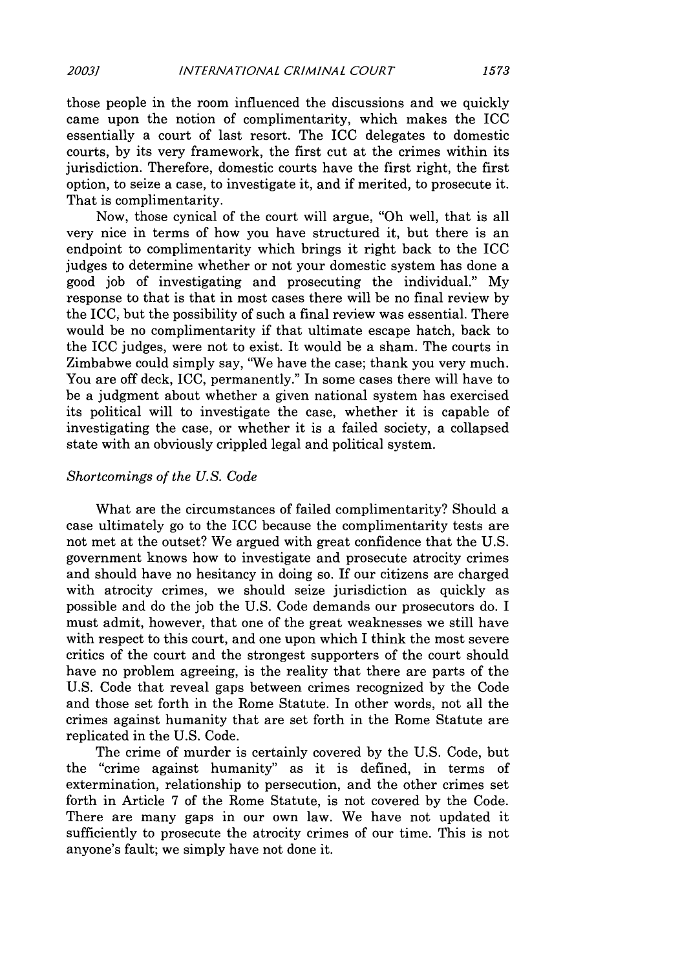those people in the room influenced the discussions and we quickly came upon the notion of complimentarity, which makes the ICC essentially a court of last resort. The ICC delegates to domestic courts, by its very framework, the first cut at the crimes within its jurisdiction. Therefore, domestic courts have the first right, the first option, to seize a case, to investigate it, and if merited, to prosecute it. That is complimentarity.

Now, those cynical of the court will argue, "Oh well, that is all very nice in terms of how you have structured it, but there is an endpoint to complimentarity which brings it right back to the ICC judges to determine whether or not your domestic system has done a good job of investigating and prosecuting the individual." My response to that is that in most cases there will be no final review by the ICC, but the possibility of such a final review was essential. There would be no complimentarity if that ultimate escape hatch, back to the ICC judges, were not to exist. It would be a sham. The courts in Zimbabwe could simply say, "We have the case; thank you very much. You are off deck, ICC, permanently." In some cases there will have to be a judgment about whether a given national system has exercised its political will to investigate the case, whether it is capable of investigating the case, or whether it is a failed society, a collapsed state with an obviously crippled legal and political system.

#### *Shortcomings of the U.S. Code*

What are the circumstances of failed complimentarity? Should a case ultimately go to the ICC because the complimentarity tests are not met at the outset? We argued with great confidence that the U.S. government knows how to investigate and prosecute atrocity crimes and should have no hesitancy in doing so. If our citizens are charged with atrocity crimes, we should seize jurisdiction as quickly as possible and do the job the U.S. Code demands our prosecutors do. I must admit, however, that one of the great weaknesses we still have with respect to this court, and one upon which I think the most severe critics of the court and the strongest supporters of the court should have no problem agreeing, is the reality that there are parts of the U.S. Code that reveal gaps between crimes recognized by the Code and those set forth in the Rome Statute. In other words, not all the crimes against humanity that are set forth in the Rome Statute are replicated in the U.S. Code.

The crime of murder is certainly covered by the U.S. Code, but the "crime against humanity" as it is defined, in terms of extermination, relationship to persecution, and the other crimes set forth in Article 7 of the Rome Statute, is not covered by the Code. There are many gaps in our own law. We have not updated it sufficiently to prosecute the atrocity crimes of our time. This is not anyone's fault; we simply have not done it.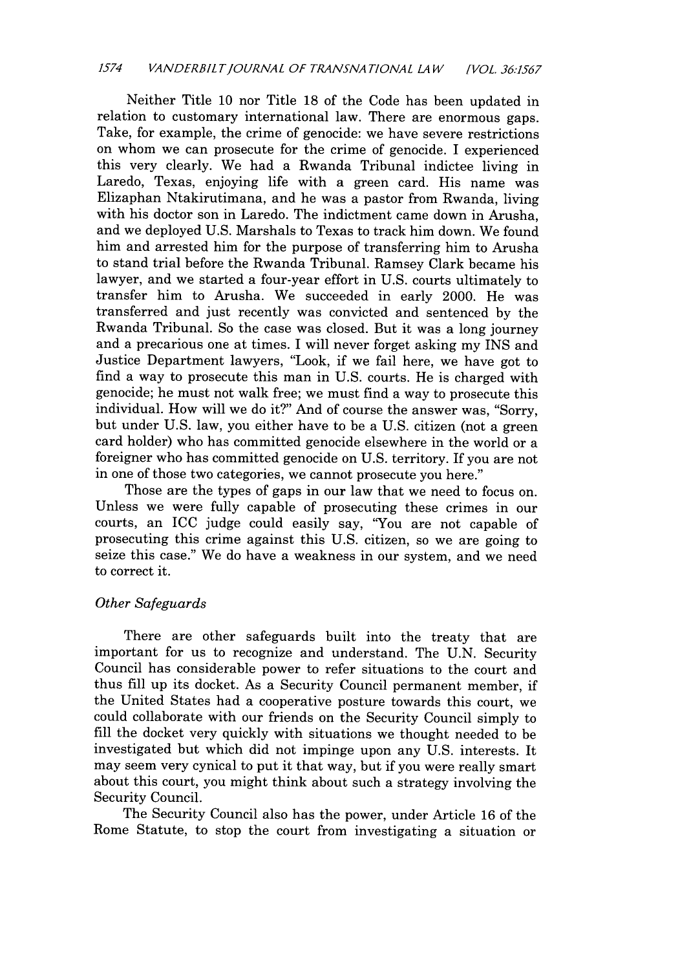Neither Title 10 nor Title 18 of the Code has been updated in relation to customary international law. There are enormous gaps. Take, for example, the crime of genocide: we have severe restrictions on whom we can prosecute for the crime of genocide. I experienced this very clearly. We had a Rwanda Tribunal indictee living in Laredo, Texas, enjoying life with a green card. His name was Elizaphan Ntakirutimana, and he was a pastor from Rwanda, living with his doctor son in Laredo. The indictment came down in Arusha, and we deployed U.S. Marshals to Texas to track him down. We found him and arrested him for the purpose of transferring him to Arusha to stand trial before the Rwanda Tribunal. Ramsey Clark became his lawyer, and we started a four-year effort in U.S. courts ultimately to transfer him to Arusha. We succeeded in early 2000. He was transferred and just recently was convicted and sentenced by the Rwanda Tribunal. So the case was closed. But it was a long journey and a precarious one at times. I will never forget asking my INS and Justice Department lawyers, "Look, if we fail here, we have got to find a way to prosecute this man in U.S. courts. He is charged with genocide; he must not walk free; we must find a way to prosecute this individual. How will we do it?" And of course the answer was, "Sorry, but under U.S. law, you either have to be a U.S. citizen (not a green card holder) who has committed genocide elsewhere in the world or a foreigner who has committed genocide on U.S. territory. If you are not in one of those two categories, we cannot prosecute you here."

Those are the types of gaps in our law that we need to focus on. Unless we were fully capable of prosecuting these crimes in our courts, an ICC judge could easily say, 'You are not capable of prosecuting this crime against this U.S. citizen, so we are going to seize this case." We do have a weakness in our system, and we need to correct it.

### *Other Safeguards*

There are other safeguards built into the treaty that are important for us to recognize and understand. The U.N. Security Council has considerable power to refer situations to the court and thus fill up its docket. As a Security Council permanent member, if the United States had a cooperative posture towards this court, we could collaborate with our friends on the Security Council simply to fill the docket very quickly with situations we thought needed to be investigated but which did not impinge upon any U.S. interests. It may seem very cynical to put it that way, but if you were really smart about this court, you might think about such a strategy involving the Security Council.

The Security Council also has the power, under Article 16 of the Rome Statute, to stop the court from investigating a situation or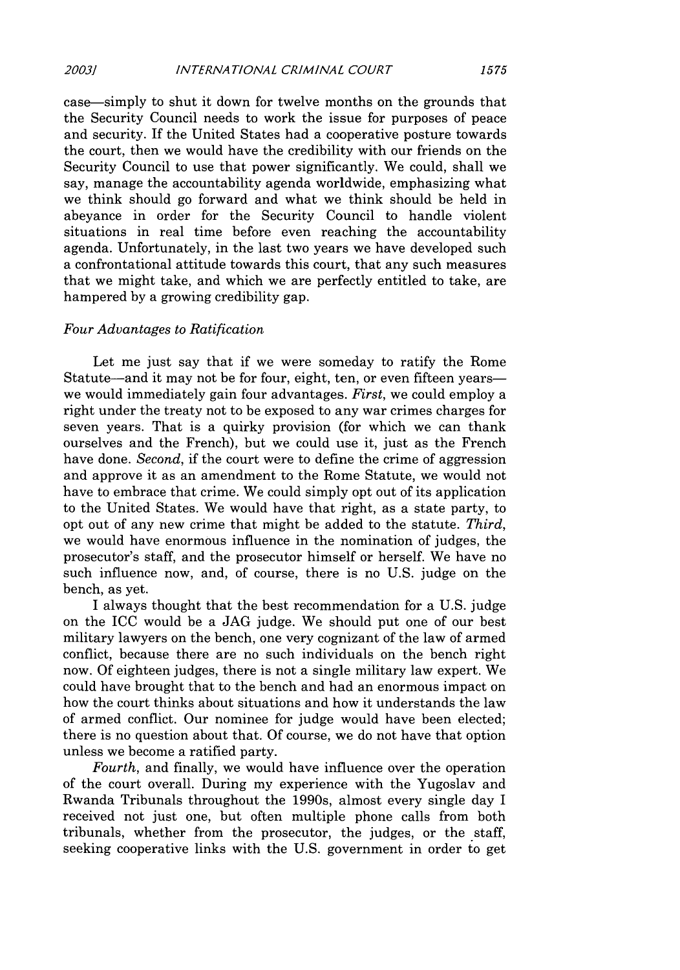*INTERNATIONAL CRIMINAL COURT 2003] 1575*

case-simply to shut it down for twelve months on the grounds that the Security Council needs to work the issue for purposes of peace and security. If the United States had a cooperative posture towards the court, then we would have the credibility with our friends on the Security Council to use that power significantly. We could, shall we say, manage the accountability agenda worldwide, emphasizing what we think should go forward and what we think should be held in abeyance in order for the Security Council to handle violent situations in real time before even reaching the accountability agenda. Unfortunately, in the last two years we have developed such a confrontational attitude towards this court, that any such measures that we might take, and which we are perfectly entitled to take, are hampered by a growing credibility gap.

#### *Four Advantages to Ratification*

Let me just say that if we were someday to ratify the Rome Statute—and it may not be for four, eight, ten, or even fifteen years we would immediately gain four advantages. *First,* we could employ a right under the treaty not to be exposed to any war crimes charges for seven years. That is a quirky provision (for which we can thank ourselves and the French), but we could use it, just as the French have done. *Second,* if the court were to define the crime of aggression and approve it as an amendment to the Rome Statute, we would not have to embrace that crime. We could simply opt out of its application to the United States. We would have that right, as a state party, to opt out of any new crime that might be added to the statute. *Third,* we would have enormous influence in the nomination of judges, the prosecutor's staff, and the prosecutor himself or herself. We have no such influence now, and, of course, there is no U.S. judge on the bench, as yet.

I always thought that the best recommendation for a U.S. judge on the ICC would be a JAG judge. We should put one of our best military lawyers on the bench, one very cognizant of the law of armed conflict, because there are no such individuals on the bench right now. Of eighteen judges, there is not a single military law expert. We could have brought that to the bench and had an enormous impact on how the court thinks about situations and how it understands the law of armed conflict. Our nominee for judge would have been elected; there is no question about that. Of course, we do not have that option unless we become a ratified party.

*Fourth,* and finally, we would have influence over the operation of the court overall. During my experience with the Yugoslav and Rwanda Tribunals throughout the 1990s, almost every single day I received not just one, but often multiple phone calls from both tribunals, whether from the prosecutor, the judges, or the staff, seeking cooperative links with the U.S. government in order to get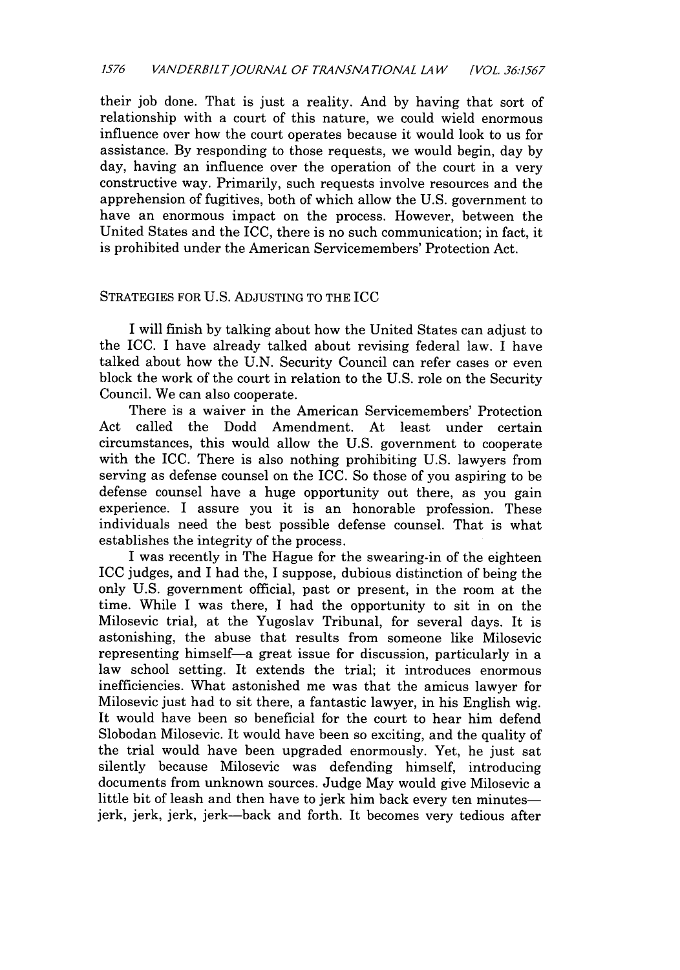their job done. That is just a reality. And by having that sort of relationship with a court of this nature, we could wield enormous influence over how the court operates because it would look to us for assistance. By responding to those requests, we would begin, day by day, having an influence over the operation of the court in a very constructive way. Primarily, such requests involve resources and the apprehension of fugitives, both of which allow the U.S. government to have an enormous impact on the process. However, between the United States and the ICC, there is no such communication; in fact, it is prohibited under the American Servicemembers' Protection Act.

#### STRATEGIES FOR U.S. ADJUSTING TO THE ICC

I will finish by talking about how the United States can adjust to the ICC. I have already talked about revising federal law. I have talked about how the U.N. Security Council can refer cases or even block the work of the court in relation to the U.S. role on the Security Council. We can also cooperate.

There is a waiver in the American Servicemembers' Protection Act called the Dodd Amendment. At least under certain circumstances, this would allow the U.S. government to cooperate with the ICC. There is also nothing prohibiting U.S. lawyers from serving as defense counsel on the ICC. So those of you aspiring to be defense counsel have a huge opportunity out there, as you gain experience. I assure you it is an honorable profession. These individuals need the best possible defense counsel. That is what establishes the integrity of the process.

I was recently in The Hague for the swearing-in of the eighteen ICC judges, and I had the, I suppose, dubious distinction of being the only U.S. government official, past or present, in the room at the time. While I was there, I had the opportunity to sit in on the Milosevic trial, at the Yugoslav Tribunal, for several days. It is astonishing, the abuse that results from someone like Milosevic representing himself-a great issue for discussion, particularly in a law school setting. It extends the trial; it introduces enormous inefficiencies. What astonished me was that the amicus lawyer for Milosevic just had to sit there, a fantastic lawyer, in his English wig. It would have been so beneficial for the court to hear him defend Slobodan Milosevic. It would have been so exciting, and the quality of the trial would have been upgraded enormously. Yet, he just sat silently because Milosevic was defending himself, introducing documents from unknown sources. Judge May would give Milosevic a little bit of leash and then have to jerk him back every ten minutesjerk, jerk, jerk, jerk-back and forth. It becomes very tedious after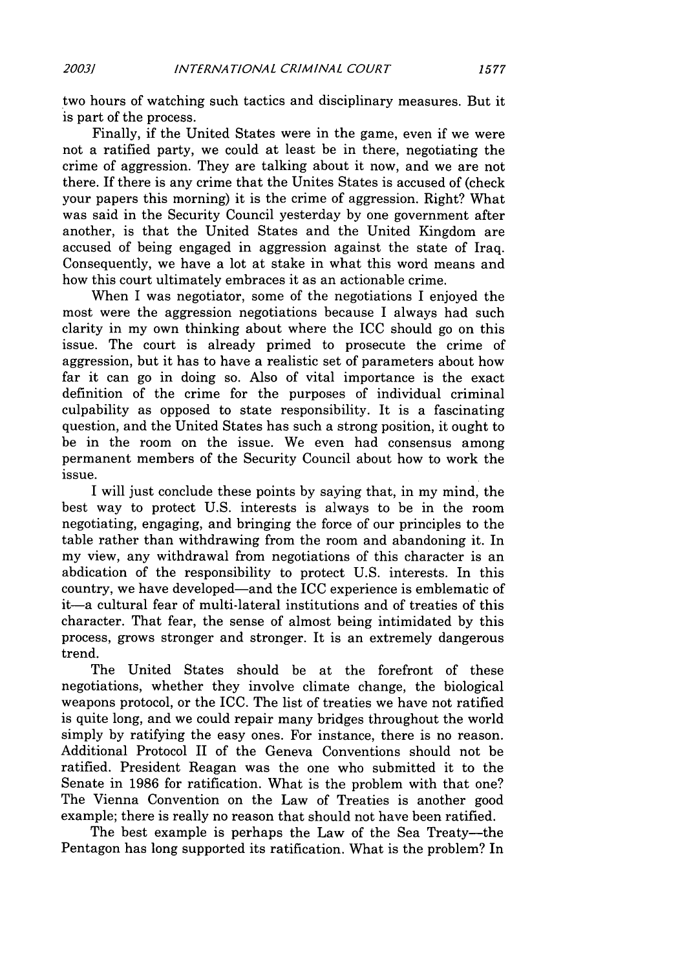two hours of watching such tactics and disciplinary measures. But it is part of the process.

Finally, if the United States were in the game, even if we were not a ratified party, we could at least be in there, negotiating the crime of aggression. They are talking about it now, and we are not there. If there is any crime that the Unites States is accused of (check your papers this morning) it is the crime of aggression. Right? What was said in the Security Council yesterday by one government after another, is that the United States and the United Kingdom are accused of being engaged in aggression against the state of Iraq. Consequently, we have a lot at stake in what this word means and how this court ultimately embraces it as an actionable crime.

When I was negotiator, some of the negotiations I enjoyed the most were the aggression negotiations because I always had such clarity in my own thinking about where the ICC should go on this issue. The court is already primed to prosecute the crime of aggression, but it has to have a realistic set of parameters about how far it can go in doing so. Also of vital importance is the exact definition of the crime for the purposes of individual criminal culpability as opposed to state responsibility. It is a fascinating question, and the United States has such a strong position, it ought to be in the room on the issue. We even had consensus among permanent members of the Security Council about how to work the issue.

I will just conclude these points by saying that, in my mind, the best way to protect U.S. interests is always to be in the room negotiating, engaging, and bringing the force of our principles to the table rather than withdrawing from the room and abandoning it. In my view, any withdrawal from negotiations of this character is an abdication of the responsibility to protect U.S. interests. In this country, we have developed-and the ICC experience is emblematic of it-a cultural fear of multi-lateral institutions and of treaties of this character. That fear, the sense of almost being intimidated by this process, grows stronger and stronger. It is an extremely dangerous trend.

The United States should be at the forefront of these negotiations, whether they involve climate change, the biological weapons protocol, or the ICC. The list of treaties we have not ratified is quite long, and we could repair many bridges throughout the world simply by ratifying the easy ones. For instance, there is no reason. Additional Protocol II of the Geneva Conventions should not be ratified. President Reagan was the one who submitted it to the Senate in 1986 for ratification. What is the problem with that one? The Vienna Convention on the Law of Treaties is another good example; there is really no reason that should not have been ratified.

The best example is perhaps the Law of the Sea Treaty--the Pentagon has long supported its ratification. What is the problem? In